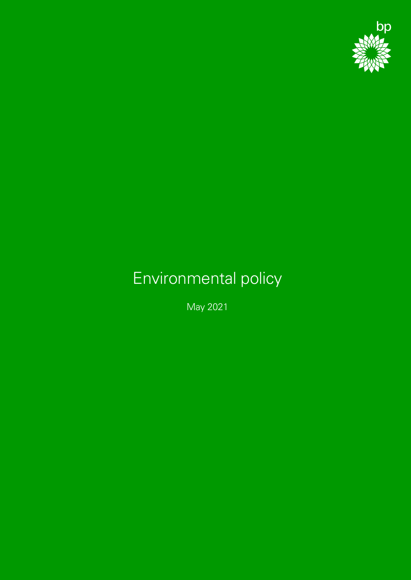

## Environmental policy

May 2021